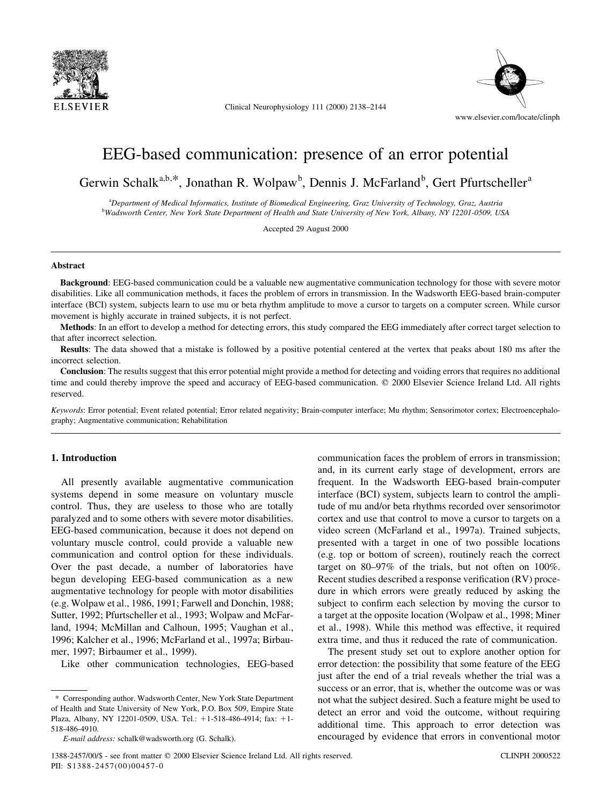

Clinical Neurophysiology  $111$  (2000) 2138-2144



# EEG-based communication: presence of an error potential

Gerwin Schalk<sup>a,b,\*</sup>, Jonathan R. Wolpaw<sup>b</sup>, Dennis J. McFarland<sup>b</sup>, Gert Pfurtscheller<sup>a</sup>

a Department of Medical Informatics, Institute of Biomedical Engineering, Graz University of Technology, Graz, Austria b Wadsworth Center, New York State Department of Health and State University of New York, Albany, NY 12201-0509, USA

Accepted 29 August 2000

## Abstract

Background: EEG-based communication could be a valuable new augmentative communication technology for those with severe motor disabilities. Like all communication methods, it faces the problem of errors in transmission. In the Wadsworth EEG-based brain-computer interface (BCI) system, subjects learn to use mu or beta rhythm amplitude to move a cursor to targets on a computer screen. While cursor movement is highly accurate in trained subjects, it is not perfect.

Methods: In an effort to develop a method for detecting errors, this study compared the EEG immediately after correct target selection to that after incorrect selection.

Results: The data showed that a mistake is followed by a positive potential centered at the vertex that peaks about 180 ms after the incorrect selection.

Conclusion: The results suggest that this error potential might provide a method for detecting and voiding errors that requires no additional time and could thereby improve the speed and accuracy of EEG-based communication.  $©$  2000 Elsevier Science Ireland Ltd. All rights reserved.

Keywords: Error potential; Event related potential; Error related negativity; Brain-computer interface; Mu rhythm; Sensorimotor cortex; Electroencephalography; Augmentative communication; Rehabilitation

## 1. Introduction

All presently available augmentative communication systems depend in some measure on voluntary muscle control. Thus, they are useless to those who are totally paralyzed and to some others with severe motor disabilities. EEG-based communication, because it does not depend on voluntary muscle control, could provide a valuable new communication and control option for these individuals. Over the past decade, a number of laboratories have begun developing EEG-based communication as a new augmentative technology for people with motor disabilities (e.g. Wolpaw et al., 1986, 1991; Farwell and Donchin, 1988; Sutter, 1992; Pfurtscheller et al., 1993; Wolpaw and McFarland, 1994; McMillan and Calhoun, 1995; Vaughan et al., 1996; Kalcher et al., 1996; McFarland et al., 1997a; Birbaumer, 1997; Birbaumer et al., 1999).

Like other communication technologies, EEG-based

communication faces the problem of errors in transmission; and, in its current early stage of development, errors are frequent. In the Wadsworth EEG-based brain-computer interface (BCI) system, subjects learn to control the amplitude of mu and/or beta rhythms recorded over sensorimotor cortex and use that control to move a cursor to targets on a video screen (McFarland et al., 1997a). Trained subjects, presented with a target in one of two possible locations (e.g. top or bottom of screen), routinely reach the correct target on  $80-97\%$  of the trials, but not often on  $100\%$ . Recent studies described a response verification (RV) procedure in which errors were greatly reduced by asking the subject to confirm each selection by moving the cursor to a target at the opposite location (Wolpaw et al., 1998; Miner et al., 1998). While this method was effective, it required extra time, and thus it reduced the rate of communication.

The present study set out to explore another option for error detection: the possibility that some feature of the EEG just after the end of a trial reveals whether the trial was a success or an error, that is, whether the outcome was or was not what the subject desired. Such a feature might be used to detect an error and void the outcome, without requiring additional time. This approach to error detection was encouraged by evidence that errors in conventional motor

<sup>\*</sup> Corresponding author. Wadsworth Center, New York State Department of Health and State University of New York, P.O. Box 509, Empire State Plaza, Albany, NY 12201-0509, USA. Tel.: +1-518-486-4914; fax: +1-518-486-4910.

E-mail address: schalk@wadsworth.org (G. Schalk).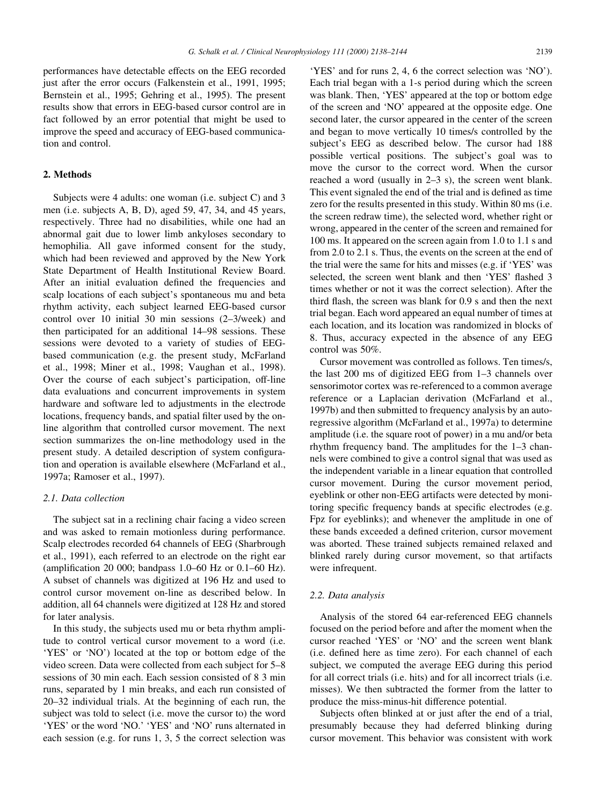performances have detectable effects on the EEG recorded just after the error occurs (Falkenstein et al., 1991, 1995; Bernstein et al., 1995; Gehring et al., 1995). The present results show that errors in EEG-based cursor control are in fact followed by an error potential that might be used to improve the speed and accuracy of EEG-based communication and control.

# 2. Methods

Subjects were 4 adults: one woman (i.e. subject C) and 3 men (i.e. subjects A, B, D), aged 59, 47, 34, and 45 years, respectively. Three had no disabilities, while one had an abnormal gait due to lower limb ankyloses secondary to hemophilia. All gave informed consent for the study, which had been reviewed and approved by the New York State Department of Health Institutional Review Board. After an initial evaluation defined the frequencies and scalp locations of each subject's spontaneous mu and beta rhythm activity, each subject learned EEG-based cursor control over 10 initial 30 min sessions (2–3/week) and then participated for an additional 14-98 sessions. These sessions were devoted to a variety of studies of EEGbased communication (e.g. the present study, McFarland et al., 1998; Miner et al., 1998; Vaughan et al., 1998). Over the course of each subject's participation, off-line data evaluations and concurrent improvements in system hardware and software led to adjustments in the electrode locations, frequency bands, and spatial filter used by the online algorithm that controlled cursor movement. The next section summarizes the on-line methodology used in the present study. A detailed description of system configuration and operation is available elsewhere (McFarland et al., 1997a; Ramoser et al., 1997).

## 2.1. Data collection

The subject sat in a reclining chair facing a video screen and was asked to remain motionless during performance. Scalp electrodes recorded 64 channels of EEG (Sharbrough et al., 1991), each referred to an electrode on the right ear (amplification 20 000; bandpass 1.0–60 Hz or 0.1–60 Hz). A subset of channels was digitized at 196 Hz and used to control cursor movement on-line as described below. In addition, all 64 channels were digitized at 128 Hz and stored for later analysis.

In this study, the subjects used mu or beta rhythm amplitude to control vertical cursor movement to a word (i.e. `YES' or `NO') located at the top or bottom edge of the video screen. Data were collected from each subject for 5–8 sessions of 30 min each. Each session consisted of 8 3 min runs, separated by 1 min breaks, and each run consisted of 20-32 individual trials. At the beginning of each run, the subject was told to select (i.e. move the cursor to) the word `YES' or the word `NO.' `YES' and `NO' runs alternated in each session (e.g. for runs 1, 3, 5 the correct selection was

`YES' and for runs 2, 4, 6 the correct selection was `NO'). Each trial began with a 1-s period during which the screen was blank. Then, `YES' appeared at the top or bottom edge of the screen and `NO' appeared at the opposite edge. One second later, the cursor appeared in the center of the screen and began to move vertically 10 times/s controlled by the subject's EEG as described below. The cursor had 188 possible vertical positions. The subject's goal was to move the cursor to the correct word. When the cursor reached a word (usually in  $2-3$  s), the screen went blank. This event signaled the end of the trial and is defined as time zero for the results presented in this study. Within 80 ms (i.e. the screen redraw time), the selected word, whether right or wrong, appeared in the center of the screen and remained for 100 ms. It appeared on the screen again from 1.0 to 1.1 s and from 2.0 to 2.1 s. Thus, the events on the screen at the end of the trial were the same for hits and misses (e.g. if `YES' was selected, the screen went blank and then 'YES' flashed 3 times whether or not it was the correct selection). After the third flash, the screen was blank for  $0.9$  s and then the next trial began. Each word appeared an equal number of times at each location, and its location was randomized in blocks of 8. Thus, accuracy expected in the absence of any EEG control was 50%.

Cursor movement was controlled as follows. Ten times/s, the last  $200 \text{ ms}$  of digitized EEG from  $1-3$  channels over sensorimotor cortex was re-referenced to a common average reference or a Laplacian derivation (McFarland et al., 1997b) and then submitted to frequency analysis by an autoregressive algorithm (McFarland et al., 1997a) to determine amplitude (i.e. the square root of power) in a mu and/or beta rhythm frequency band. The amplitudes for the  $1-3$  channels were combined to give a control signal that was used as the independent variable in a linear equation that controlled cursor movement. During the cursor movement period, eyeblink or other non-EEG artifacts were detected by monitoring specific frequency bands at specific electrodes (e.g. Fpz for eyeblinks); and whenever the amplitude in one of these bands exceeded a defined criterion, cursor movement was aborted. These trained subjects remained relaxed and blinked rarely during cursor movement, so that artifacts were infrequent.

#### 2.2. Data analysis

Analysis of the stored 64 ear-referenced EEG channels focused on the period before and after the moment when the cursor reached `YES' or `NO' and the screen went blank (i.e. defined here as time zero). For each channel of each subject, we computed the average EEG during this period for all correct trials (i.e. hits) and for all incorrect trials (i.e. misses). We then subtracted the former from the latter to produce the miss-minus-hit difference potential.

Subjects often blinked at or just after the end of a trial, presumably because they had deferred blinking during cursor movement. This behavior was consistent with work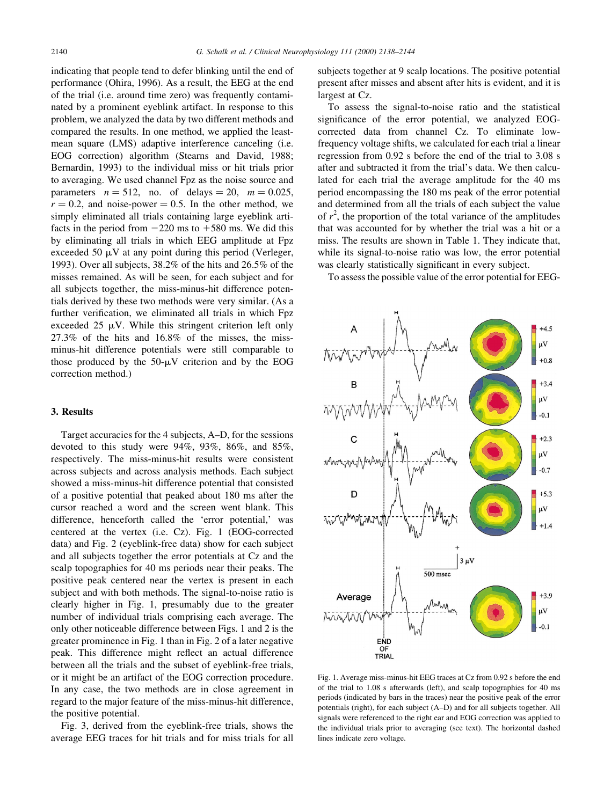indicating that people tend to defer blinking until the end of performance (Ohira, 1996). As a result, the EEG at the end of the trial (i.e. around time zero) was frequently contaminated by a prominent eyeblink artifact. In response to this problem, we analyzed the data by two different methods and compared the results. In one method, we applied the leastmean square (LMS) adaptive interference canceling (i.e. EOG correction) algorithm (Stearns and David, 1988; Bernardin, 1993) to the individual miss or hit trials prior to averaging. We used channel Fpz as the noise source and parameters  $n = 512$ , no. of delays = 20,  $m = 0.025$ ,  $r = 0.2$ , and noise-power = 0.5. In the other method, we simply eliminated all trials containing large eyeblink artifacts in the period from  $-220$  ms to  $+580$  ms. We did this by eliminating all trials in which EEG amplitude at Fpz exceeded 50  $\mu$ V at any point during this period (Verleger, 1993). Over all subjects, 38.2% of the hits and 26.5% of the misses remained. As will be seen, for each subject and for all subjects together, the miss-minus-hit difference potentials derived by these two methods were very similar. (As a further verification, we eliminated all trials in which Fpz exceeded 25  $\mu$ V. While this stringent criterion left only 27.3% of the hits and 16.8% of the misses, the missminus-hit difference potentials were still comparable to those produced by the  $50-\mu V$  criterion and by the EOG correction method.)

# 3. Results

Target accuracies for the 4 subjects, A-D, for the sessions devoted to this study were 94%, 93%, 86%, and 85%, respectively. The miss-minus-hit results were consistent across subjects and across analysis methods. Each subject showed a miss-minus-hit difference potential that consisted of a positive potential that peaked about 180 ms after the cursor reached a word and the screen went blank. This difference, henceforth called the `error potential,' was centered at the vertex (i.e. Cz). Fig. 1 (EOG-corrected data) and Fig. 2 (eyeblink-free data) show for each subject and all subjects together the error potentials at Cz and the scalp topographies for 40 ms periods near their peaks. The positive peak centered near the vertex is present in each subject and with both methods. The signal-to-noise ratio is clearly higher in Fig. 1, presumably due to the greater number of individual trials comprising each average. The only other noticeable difference between Figs. 1 and 2 is the greater prominence in Fig. 1 than in Fig. 2 of a later negative peak. This difference might reflect an actual difference between all the trials and the subset of eyeblink-free trials, or it might be an artifact of the EOG correction procedure. In any case, the two methods are in close agreement in regard to the major feature of the miss-minus-hit difference, the positive potential.

Fig. 3, derived from the eyeblink-free trials, shows the average EEG traces for hit trials and for miss trials for all subjects together at 9 scalp locations. The positive potential present after misses and absent after hits is evident, and it is largest at Cz.

To assess the signal-to-noise ratio and the statistical significance of the error potential, we analyzed EOGcorrected data from channel Cz. To eliminate lowfrequency voltage shifts, we calculated for each trial a linear regression from 0.92 s before the end of the trial to 3.08 s after and subtracted it from the trial's data. We then calculated for each trial the average amplitude for the 40 ms period encompassing the 180 ms peak of the error potential and determined from all the trials of each subject the value of  $r^2$ , the proportion of the total variance of the amplitudes that was accounted for by whether the trial was a hit or a miss. The results are shown in Table 1. They indicate that, while its signal-to-noise ratio was low, the error potential was clearly statistically significant in every subject.

To assess the possible value of the error potential for EEG-



Fig. 1. Average miss-minus-hit EEG traces at Cz from 0.92 s before the end of the trial to 1.08 s afterwards (left), and scalp topographies for 40 ms periods (indicated by bars in the traces) near the positive peak of the error potentials (right), for each subject (A-D) and for all subjects together. All signals were referenced to the right ear and EOG correction was applied to the individual trials prior to averaging (see text). The horizontal dashed lines indicate zero voltage.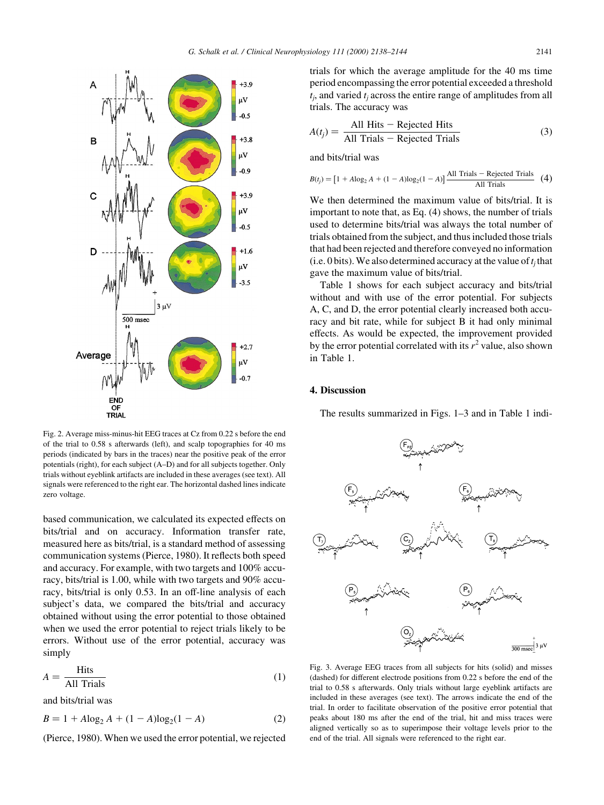

Fig. 2. Average miss-minus-hit EEG traces at Cz from 0.22 s before the end of the trial to 0.58 s afterwards (left), and scalp topographies for 40 ms periods (indicated by bars in the traces) near the positive peak of the error potentials (right), for each subject  $(A-D)$  and for all subjects together. Only trials without eyeblink artifacts are included in these averages (see text). All signals were referenced to the right ear. The horizontal dashed lines indicate zero voltage.

based communication, we calculated its expected effects on bits/trial and on accuracy. Information transfer rate, measured here as bits/trial, is a standard method of assessing communication systems (Pierce, 1980). It reflects both speed and accuracy. For example, with two targets and 100% accuracy, bits/trial is 1.00, while with two targets and 90% accuracy, bits/trial is only 0.53. In an off-line analysis of each subject's data, we compared the bits/trial and accuracy obtained without using the error potential to those obtained when we used the error potential to reject trials likely to be errors. Without use of the error potential, accuracy was simply

$$
A = \frac{\text{Hits}}{\text{All Trials}} \tag{1}
$$

and bits/trial was

$$
B = 1 + A \log_2 A + (1 - A) \log_2 (1 - A)
$$
 (2)

(Pierce, 1980). When we used the error potential, we rejected

trials for which the average amplitude for the 40 ms time period encompassing the error potential exceeded a threshold  $t_i$ , and varied  $t_i$  across the entire range of amplitudes from all trials. The accuracy was

$$
A(t_j) = \frac{\text{All Hits} - \text{Rejected Hits}}{\text{All Trials} - \text{Rejected Trials}}
$$
(3)

and bits/trial was

$$
B(t_j) = [1 + A\log_2 A + (1 - A)\log_2(1 - A)] \frac{\text{All Trials} - \text{Rejected Trials}}{\text{All Trials}} \tag{4}
$$

We then determined the maximum value of bits/trial. It is important to note that, as Eq. (4) shows, the number of trials used to determine bits/trial was always the total number of trials obtained from the subject, and thus included those trials that had been rejected and therefore conveyed no information (i.e. 0 bits). We also determined accuracy at the value of  $t_i$  that gave the maximum value of bits/trial.

Table 1 shows for each subject accuracy and bits/trial without and with use of the error potential. For subjects A, C, and D, the error potential clearly increased both accuracy and bit rate, while for subject B it had only minimal effects. As would be expected, the improvement provided by the error potential correlated with its  $r^2$  value, also shown in Table 1.

## 4. Discussion

The results summarized in Figs.  $1-3$  and in Table 1 indi-



Fig. 3. Average EEG traces from all subjects for hits (solid) and misses (dashed) for different electrode positions from 0.22 s before the end of the trial to 0.58 s afterwards. Only trials without large eyeblink artifacts are included in these averages (see text). The arrows indicate the end of the trial. In order to facilitate observation of the positive error potential that peaks about 180 ms after the end of the trial, hit and miss traces were aligned vertically so as to superimpose their voltage levels prior to the end of the trial. All signals were referenced to the right ear.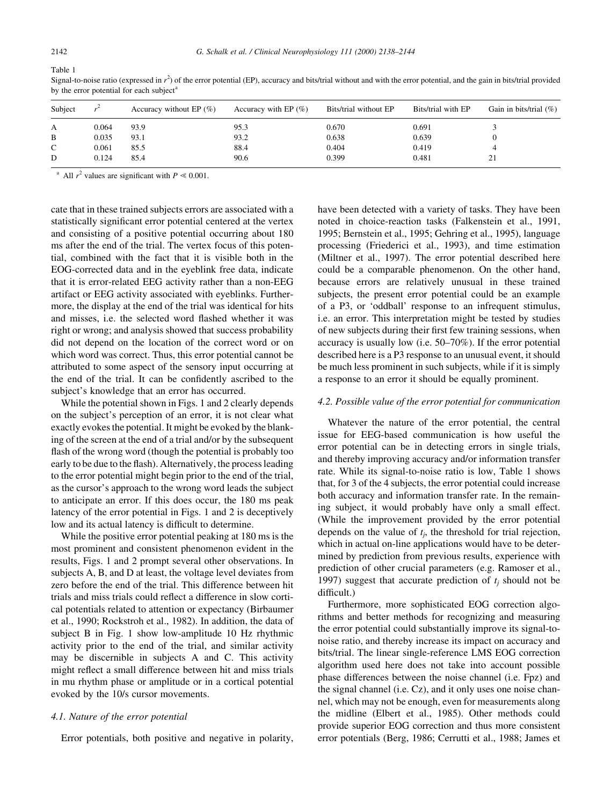| Subject      |       | Accuracy without EP $(\% )$ | Accuracy with EP $(\%)$ | Bits/trial without EP | Bits/trial with EP | Gain in bits/trial $(\%)$ |
|--------------|-------|-----------------------------|-------------------------|-----------------------|--------------------|---------------------------|
| А            | 0.064 | 93.9                        | 95.3                    | 0.670                 | 0.691              |                           |
| B            | 0.035 | 93.1                        | 93.2                    | 0.638                 | 0.639              |                           |
| $\mathsf{C}$ | 0.061 | 85.5                        | 88.4                    | 0.404                 | 0.419              |                           |
| D            | 0.124 | 85.4                        | 90.6                    | 0.399                 | 0.481              | ∠⊥                        |

Signal-to-noise ratio (expressed in  $r^2$ ) of the error potential (EP), accuracy and bits/trial without and with the error potential, and the gain in bits/trial provided by the error potential for each subject $a$ 

<sup>a</sup> All  $r^2$  values are significant with  $P \le 0.001$ .

cate that in these trained subjects errors are associated with a statistically significant error potential centered at the vertex and consisting of a positive potential occurring about 180 ms after the end of the trial. The vertex focus of this potential, combined with the fact that it is visible both in the EOG-corrected data and in the eyeblink free data, indicate that it is error-related EEG activity rather than a non-EEG artifact or EEG activity associated with eyeblinks. Furthermore, the display at the end of the trial was identical for hits and misses, i.e. the selected word flashed whether it was right or wrong; and analysis showed that success probability did not depend on the location of the correct word or on which word was correct. Thus, this error potential cannot be attributed to some aspect of the sensory input occurring at the end of the trial. It can be confidently ascribed to the subject's knowledge that an error has occurred.

While the potential shown in Figs. 1 and 2 clearly depends on the subject's perception of an error, it is not clear what exactly evokes the potential. It might be evoked by the blanking of the screen at the end of a trial and/or by the subsequent flash of the wrong word (though the potential is probably too early to be due to the flash). Alternatively, the process leading to the error potential might begin prior to the end of the trial, as the cursor's approach to the wrong word leads the subject to anticipate an error. If this does occur, the 180 ms peak latency of the error potential in Figs. 1 and 2 is deceptively low and its actual latency is difficult to determine.

While the positive error potential peaking at 180 ms is the most prominent and consistent phenomenon evident in the results, Figs. 1 and 2 prompt several other observations. In subjects A, B, and D at least, the voltage level deviates from zero before the end of the trial. This difference between hit trials and miss trials could reflect a difference in slow cortical potentials related to attention or expectancy (Birbaumer et al., 1990; Rockstroh et al., 1982). In addition, the data of subject B in Fig. 1 show low-amplitude 10 Hz rhythmic activity prior to the end of the trial, and similar activity may be discernible in subjects A and C. This activity might reflect a small difference between hit and miss trials in mu rhythm phase or amplitude or in a cortical potential evoked by the 10/s cursor movements.

#### 4.1. Nature of the error potential

Error potentials, both positive and negative in polarity,

have been detected with a variety of tasks. They have been noted in choice-reaction tasks (Falkenstein et al., 1991, 1995; Bernstein et al., 1995; Gehring et al., 1995), language processing (Friederici et al., 1993), and time estimation (Miltner et al., 1997). The error potential described here could be a comparable phenomenon. On the other hand, because errors are relatively unusual in these trained subjects, the present error potential could be an example of a P3, or `oddball' response to an infrequent stimulus, i.e. an error. This interpretation might be tested by studies of new subjects during their first few training sessions, when accuracy is usually low (i.e.  $50-70\%$ ). If the error potential described here is a P3 response to an unusual event, it should be much less prominent in such subjects, while if it is simply a response to an error it should be equally prominent.

#### 4.2. Possible value of the error potential for communication

Whatever the nature of the error potential, the central issue for EEG-based communication is how useful the error potential can be in detecting errors in single trials, and thereby improving accuracy and/or information transfer rate. While its signal-to-noise ratio is low, Table 1 shows that, for 3 of the 4 subjects, the error potential could increase both accuracy and information transfer rate. In the remaining subject, it would probably have only a small effect. (While the improvement provided by the error potential depends on the value of  $t_i$ , the threshold for trial rejection, which in actual on-line applications would have to be determined by prediction from previous results, experience with prediction of other crucial parameters (e.g. Ramoser et al., 1997) suggest that accurate prediction of  $t_i$  should not be difficult.)

Furthermore, more sophisticated EOG correction algorithms and better methods for recognizing and measuring the error potential could substantially improve its signal-tonoise ratio, and thereby increase its impact on accuracy and bits/trial. The linear single-reference LMS EOG correction algorithm used here does not take into account possible phase differences between the noise channel (i.e. Fpz) and the signal channel (i.e. Cz), and it only uses one noise channel, which may not be enough, even for measurements along the midline (Elbert et al., 1985). Other methods could provide superior EOG correction and thus more consistent error potentials (Berg, 1986; Cerrutti et al., 1988; James et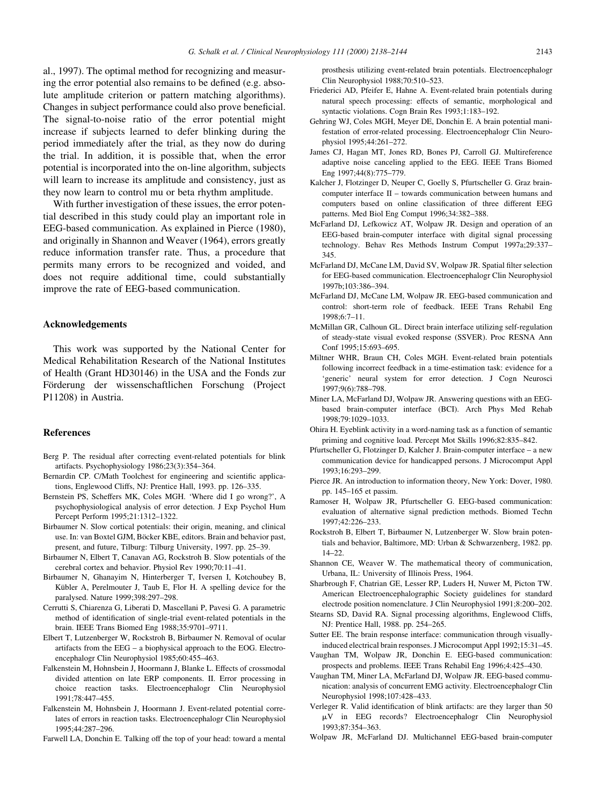al., 1997). The optimal method for recognizing and measuring the error potential also remains to be defined (e.g. absolute amplitude criterion or pattern matching algorithms). Changes in subject performance could also prove beneficial. The signal-to-noise ratio of the error potential might increase if subjects learned to defer blinking during the period immediately after the trial, as they now do during the trial. In addition, it is possible that, when the error potential is incorporated into the on-line algorithm, subjects will learn to increase its amplitude and consistency, just as they now learn to control mu or beta rhythm amplitude.

With further investigation of these issues, the error potential described in this study could play an important role in EEG-based communication. As explained in Pierce (1980), and originally in Shannon and Weaver (1964), errors greatly reduce information transfer rate. Thus, a procedure that permits many errors to be recognized and voided, and does not require additional time, could substantially improve the rate of EEG-based communication.

# Acknowledgements

This work was supported by the National Center for Medical Rehabilitation Research of the National Institutes of Health (Grant HD30146) in the USA and the Fonds zur Förderung der wissenschaftlichen Forschung (Project P11208) in Austria.

# References

- Berg P. The residual after correcting event-related potentials for blink artifacts. Psychophysiology 1986;23(3):354-364.
- Bernardin CP. C/Math Toolchest for engineering and scientific applications, Englewood Cliffs, NJ: Prentice Hall, 1993. pp. 126-335.
- Bernstein PS, Scheffers MK, Coles MGH. `Where did I go wrong?', A psychophysiological analysis of error detection. J Exp Psychol Hum Percept Perform 1995;21:1312-1322.
- Birbaumer N. Slow cortical potentials: their origin, meaning, and clinical use. In: van Boxtel GJM, Böcker KBE, editors. Brain and behavior past, present, and future, Tilburg: Tilburg University, 1997. pp. 25-39.
- Birbaumer N, Elbert T, Canavan AG, Rockstroh B. Slow potentials of the cerebral cortex and behavior. Physiol Rev 1990;70:11-41.
- Birbaumer N, Ghanayim N, Hinterberger T, Iversen I, Kotchoubey B, Kübler A, Perelmouter J, Taub E, Flor H. A spelling device for the paralysed. Nature 1999;398:297-298.
- Cerrutti S, Chiarenza G, Liberati D, Mascellani P, Pavesi G. A parametric method of identification of single-trial event-related potentials in the brain. IEEE Trans Biomed Eng 1988;35:9701-9711.
- Elbert T, Lutzenberger W, Rockstroh B, Birbaumer N. Removal of ocular artifacts from the  $EEG - a$  biophysical approach to the EOG. Electroencephalogr Clin Neurophysiol 1985;60:455-463.
- Falkenstein M, Hohnsbein J, Hoormann J, Blanke L. Effects of crossmodal divided attention on late ERP components. II. Error processing in choice reaction tasks. Electroencephalogr Clin Neurophysiol 1991;78:447-455.
- Falkenstein M, Hohnsbein J, Hoormann J. Event-related potential correlates of errors in reaction tasks. Electroencephalogr Clin Neurophysiol 1995;44:287±296.
- Farwell LA, Donchin E. Talking off the top of your head: toward a mental

prosthesis utilizing event-related brain potentials. Electroencephalogr Clin Neurophysiol 1988;70:510-523.

- Friederici AD, Pfeifer E, Hahne A. Event-related brain potentials during natural speech processing: effects of semantic, morphological and syntactic violations. Cogn Brain Res 1993;1:183-192.
- Gehring WJ, Coles MGH, Meyer DE, Donchin E. A brain potential manifestation of error-related processing. Electroencephalogr Clin Neurophysiol 1995;44:261-272.
- James CJ, Hagan MT, Jones RD, Bones PJ, Carroll GJ. Multireference adaptive noise canceling applied to the EEG. IEEE Trans Biomed Eng 1997;44(8):775-779.
- Kalcher J, Flotzinger D, Neuper C, Goelly S, Pfurtscheller G. Graz braincomputer interface  $II$  – towards communication between humans and computers based on online classification of three different EEG patterns. Med Biol Eng Comput 1996;34:382-388.
- McFarland DJ, Lefkowicz AT, Wolpaw JR. Design and operation of an EEG-based brain-computer interface with digital signal processing technology. Behav Res Methods Instrum Comput 1997a;29:337-345.
- McFarland DJ, McCane LM, David SV, Wolpaw JR. Spatial filter selection for EEG-based communication. Electroencephalogr Clin Neurophysiol 1997b;103:386-394.
- McFarland DJ, McCane LM, Wolpaw JR. EEG-based communication and control: short-term role of feedback. IEEE Trans Rehabil Eng  $1998:6:7-11$ .
- McMillan GR, Calhoun GL. Direct brain interface utilizing self-regulation of steady-state visual evoked response (SSVER). Proc RESNA Ann Conf 1995;15:693-695.
- Miltner WHR, Braun CH, Coles MGH. Event-related brain potentials following incorrect feedback in a time-estimation task: evidence for a `generic' neural system for error detection. J Cogn Neurosci 1997;9(6):788±798.
- Miner LA, McFarland DJ, Wolpaw JR. Answering questions with an EEGbased brain-computer interface (BCI). Arch Phys Med Rehab 1998;79:1029±1033.
- Ohira H. Eyeblink activity in a word-naming task as a function of semantic priming and cognitive load. Percept Mot Skills 1996;82:835-842.
- Pfurtscheller G, Flotzinger D, Kalcher J. Brain-computer interface a new communication device for handicapped persons. J Microcomput Appl 1993;16:293±299.
- Pierce JR. An introduction to information theory, New York: Dover, 1980. pp. 145-165 et passim.
- Ramoser H, Wolpaw JR, Pfurtscheller G. EEG-based communication: evaluation of alternative signal prediction methods. Biomed Techn  $1997:42:226-233$ .
- Rockstroh B, Elbert T, Birbaumer N, Lutzenberger W. Slow brain potentials and behavior, Baltimore, MD: Urban & Schwarzenberg, 1982. pp.  $14 - 22$
- Shannon CE, Weaver W. The mathematical theory of communication, Urbana, IL: University of Illinois Press, 1964.
- Sharbrough F, Chatrian GE, Lesser RP, Luders H, Nuwer M, Picton TW. American Electroencephalographic Society guidelines for standard electrode position nomenclature. J Clin Neurophysiol 1991:8:200-202.
- Stearns SD, David RA. Signal processing algorithms, Englewood Cliffs, NJ: Prentice Hall, 1988. pp. 254-265.
- Sutter EE. The brain response interface: communication through visuallyinduced electrical brain responses. J Microcomput Appl 1992;15:31-45.
- Vaughan TM, Wolpaw JR, Donchin E. EEG-based communication: prospects and problems. IEEE Trans Rehabil Eng 1996;4:425-430.
- Vaughan TM, Miner LA, McFarland DJ, Wolpaw JR. EEG-based communication: analysis of concurrent EMG activity. Electroencephalogr Clin Neurophysiol 1998;107:428-433.
- Verleger R. Valid identification of blink artifacts: are they larger than 50 mV in EEG records? Electroencephalogr Clin Neurophysiol 1993;87:354-363.
- Wolpaw JR, McFarland DJ. Multichannel EEG-based brain-computer